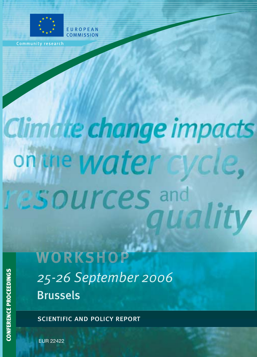

Community research

# Climate change impacts on une water **ESOUrces** and rality

WORKSHOP 25-26 September 2006 **Brussels** 

scientific and policy report

EUR 22422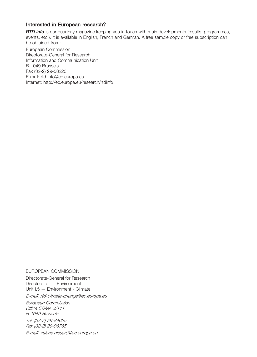## Interested in European research?

*RTD info* is our quarterly magazine keeping you in touch with main developments (results, programmes, events, etc.). It is available in English, French and German. A free sample copy or free subscription can be obtained from:

European Commission Directorate-General for Research Information and Communication Unit B-1049 Brussels Fax (32-2) 29-58220 E-mail: rtd-[info@ec.europa.eu](mailto:info@ec.europa.eu) Internet: <http://ec.europa.eu/research/rtdinfo>

#### EUROPEAN COMMISSION

Directorate-General for Research Directorate I — Environment Unit I.5 — Environment - Climate

*E-mail: rtd-climate[-change@ec.europa.eu](mailto:change@ec.europa.eu)*

*European Commission Office CDMA 3/111 B-1049 Brussels*

*Tel. (32-2) 29-84625 Fax (32-2) 29-95755*

*E-mail: valerie.[dissard@ec.europa.eu](mailto:dissard@ec.europa.eu)*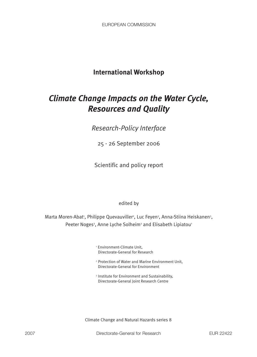## **International Workshop**

## *Climate Change Impacts on the Water Cycle, Resources and Quality*

*Research-Policy Interface*

25 - 26 September 2006

Scientific and policy report

## edited by

Marta Moren-Abat<sup>1</sup>, Philippe Quevauviller<sup>2</sup>, Luc Feyen<sup>3</sup>, Anna-Stiina Heiskanen<sup>3</sup>, Peeter Noges<sup>3</sup>, Anne Lyche Solheim<sup>3</sup> and Elisabeth Lipiatou<sup>1</sup>

> <sup>1</sup> Environment-Climate Unit, Directorate-General for Research

- <sup>2</sup> Protection of Water and Marine Environment Unit, Directorate-General for Environment
- <sup>3</sup> Institute for Environment and Sustainability, Directorate-General Joint Research Centre

Climate Change and Natural Hazards series 8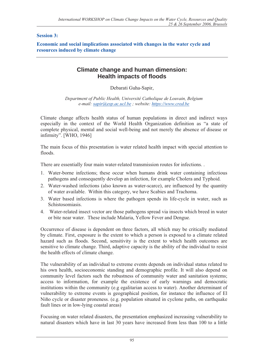## **Session 3:**

**Economic and social implications associated with changes in the water cycle and resources induced by climate change** 

## **Climate change and human dimension: Health impacts of floods**

Debarati Guha-Sapir,

*Department of Public Health, Université Catholique de Louvain, Belgium e-mail: [sapir@esp.ac.ucl.be ; w](mailto:sapir@esp.ac.ucl.be)ebsite:<https://www.cred.be>*

Climate change affects health status of human populations in direct and indirect ways especially in the context of the World Health Organization definition as "a state of complete physical, mental and social well-being and not merely the absence of disease or infirmity". [WHO, 1946]

The main focus of this presentation is water related health impact with special attention to floods.

There are essentially four main water-related transmission routes for infections. .

- 1. Water-borne infections; these occur when humans drink water containing infectious pathogens and consequently develop an infection, for example Cholera and Typhoid.
- 2. Water-washed infections (also known as water-scarce), are influenced by the quantity of water available. Within this category, we have Scabies and Trachoma.
- 3. Water based infections is where the pathogen spends its life-cycle in water, such as Schistosomiasis.
- 4. Water-related insect vector are those pathogens spread via insects which breed in water or bite near water. These include Malaria, Yellow Fever and Dengue.

Occurrence of disease is dependent on three factors, all which may be critically mediated by climate. First, exposure is the extent to which a person is exposed to a climate related hazard such as floods. Second, sensitivity is the extent to which health outcomes are sensitive to climate change. Third, adaptive capacity is the ability of the individual to resist the health effects of climate change.

The vulnerability of an individual to extreme events depends on individual status related to his own health, socioeconomic standing and demographic profile. It will also depend on community level factors such the robustness of community water and sanitation systems; access to information, for example the existence of early warnings and democratic institutions within the community (e.g egalitarian access to water). Another determinant of vulnerability to extreme events is geographical position, for instance the influence of El Niño cycle or disaster proneness. (e.g. population situated in cyclone paths, on earthquake fault lines or in low-lying coastal areas)

Focusing on water related disasters, the presentation emphasized increasing vulnerability to natural disasters which have in last 30 years have increased from less than 100 to a little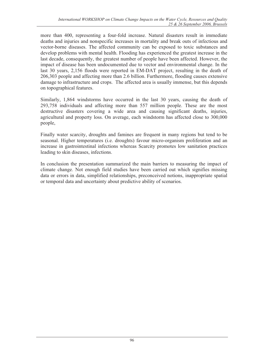more than 400, representing a four-fold increase. Natural disasters result in immediate deaths and injuries and nonspecific increases in mortality and break outs of infectious and vector-borne diseases. The affected community can be exposed to toxic substances and develop problems with mental health. Flooding has experienced the greatest increase in the last decade, consequently, the greatest number of people have been affected. However, the impact of disease has been undocumented due to vector and environmental change. In the last 30 years, 2,156 floods were reported in EM-DAT project, resulting in the death of 206,303 people and affecting more than 2.6 billion. Furthermore, flooding causes extensive damage to infrastructure and crops. The affected area is usually immense, but this depends on topographical features.

Similarly, 1,864 windstorms have occurred in the last 30 years, causing the death of 293,758 individuals and affecting more than 557 million people. These are the most destructive disasters covering a wide area and causing significant deaths, injuries, agricultural and property loss. On average, each windstorm has affected close to 300,000 people,

Finally water scarcity, droughts and famines are frequent in many regions but tend to be seasonal. Higher temperatures (i.e. droughts) favour micro-organism proliferation and an increase in gastrointestinal infections whereas Scarcity promotes low sanitation practices leading to skin diseases, infections.

In conclusion the presentation summarized the main barriers to measuring the impact of climate change. Not enough field studies have been carried out which signifies missing data or errors in data, simplified relationships, preconceived notions, inappropriate spatial or temporal data and uncertainty about predictive ability of scenarios.